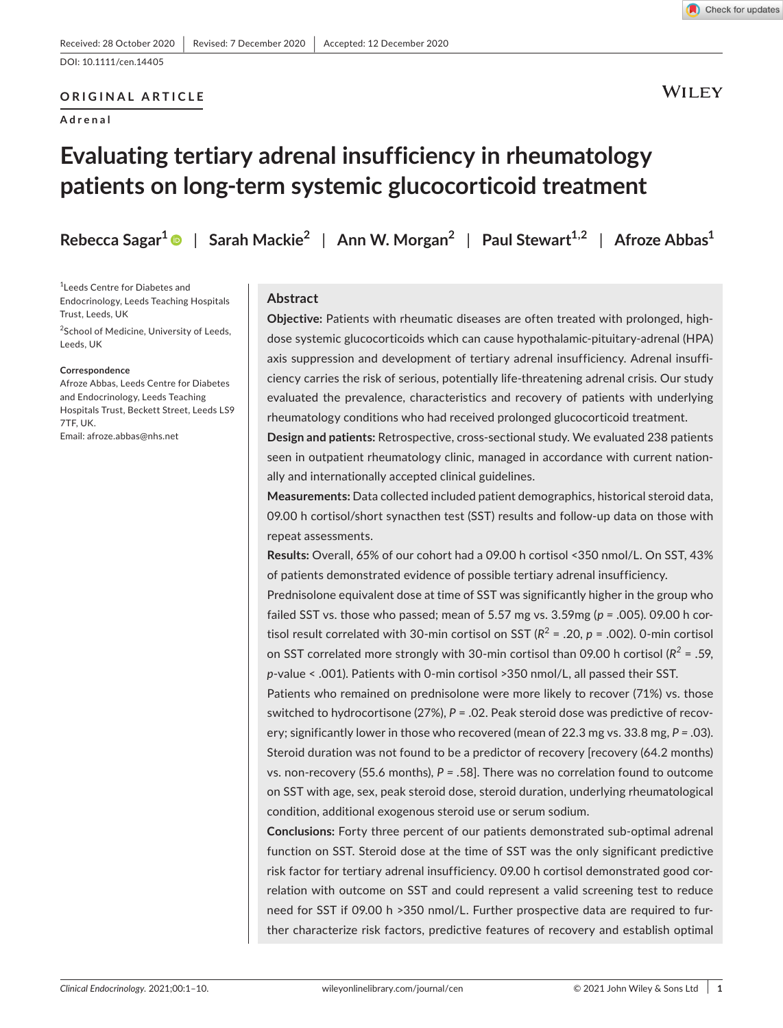# **ORIGINAL ARTICLE**

**Adrenal**

**WILEY** 

# **Evaluating tertiary adrenal insufficiency in rheumatology patients on long-term systemic glucocorticoid treatment**

**Rebecca Sagar<sup>1</sup>** | **Sarah Mackie2** | **Ann W. Morgan2** | **Paul Stewart1,2** | **Afroze Abbas<sup>1</sup>**

1 Leeds Centre for Diabetes and Endocrinology, Leeds Teaching Hospitals Trust, Leeds, UK

<sup>2</sup>School of Medicine, University of Leeds, Leeds, UK

#### **Correspondence**

Afroze Abbas, Leeds Centre for Diabetes and Endocrinology, Leeds Teaching Hospitals Trust, Beckett Street, Leeds LS9 7TF, UK. Email: [afroze.abbas@nhs.net](mailto:afroze.abbas@nhs.net)

#### **Abstract**

**Objective:** Patients with rheumatic diseases are often treated with prolonged, highdose systemic glucocorticoids which can cause hypothalamic-pituitary-adrenal (HPA) axis suppression and development of tertiary adrenal insufficiency. Adrenal insufficiency carries the risk of serious, potentially life-threatening adrenal crisis. Our study evaluated the prevalence, characteristics and recovery of patients with underlying rheumatology conditions who had received prolonged glucocorticoid treatment.

**Design and patients:** Retrospective, cross-sectional study. We evaluated 238 patients seen in outpatient rheumatology clinic, managed in accordance with current nationally and internationally accepted clinical guidelines.

**Measurements:** Data collected included patient demographics, historical steroid data, 09.00 h cortisol/short synacthen test (SST) results and follow-up data on those with repeat assessments.

**Results:** Overall, 65% of our cohort had a 09.00 h cortisol <350 nmol/L. On SST, 43% of patients demonstrated evidence of possible tertiary adrenal insufficiency.

Prednisolone equivalent dose at time of SST was significantly higher in the group who failed SST vs. those who passed; mean of 5.57 mg vs. 3.59mg (*p =* .005). 09.00 h cortisol result correlated with 30-min cortisol on SST ( $R^2$  = .20,  $p$  = .002). 0-min cortisol on SST correlated more strongly with 30-min cortisol than 09.00 h cortisol (*R<sup>2</sup>* = .59, *p*-value < .001). Patients with 0-min cortisol >350 nmol/L, all passed their SST.

Patients who remained on prednisolone were more likely to recover (71%) vs. those switched to hydrocortisone (27%), *P* = .02. Peak steroid dose was predictive of recovery; significantly lower in those who recovered (mean of 22.3 mg vs. 33.8 mg, *P =* .03). Steroid duration was not found to be a predictor of recovery [recovery (64.2 months) vs. non-recovery (55.6 months), *P =* .58]. There was no correlation found to outcome on SST with age, sex, peak steroid dose, steroid duration, underlying rheumatological condition, additional exogenous steroid use or serum sodium.

**Conclusions:** Forty three percent of our patients demonstrated sub-optimal adrenal function on SST. Steroid dose at the time of SST was the only significant predictive risk factor for tertiary adrenal insufficiency. 09.00 h cortisol demonstrated good correlation with outcome on SST and could represent a valid screening test to reduce need for SST if 09.00 h >350 nmol/L. Further prospective data are required to further characterize risk factors, predictive features of recovery and establish optimal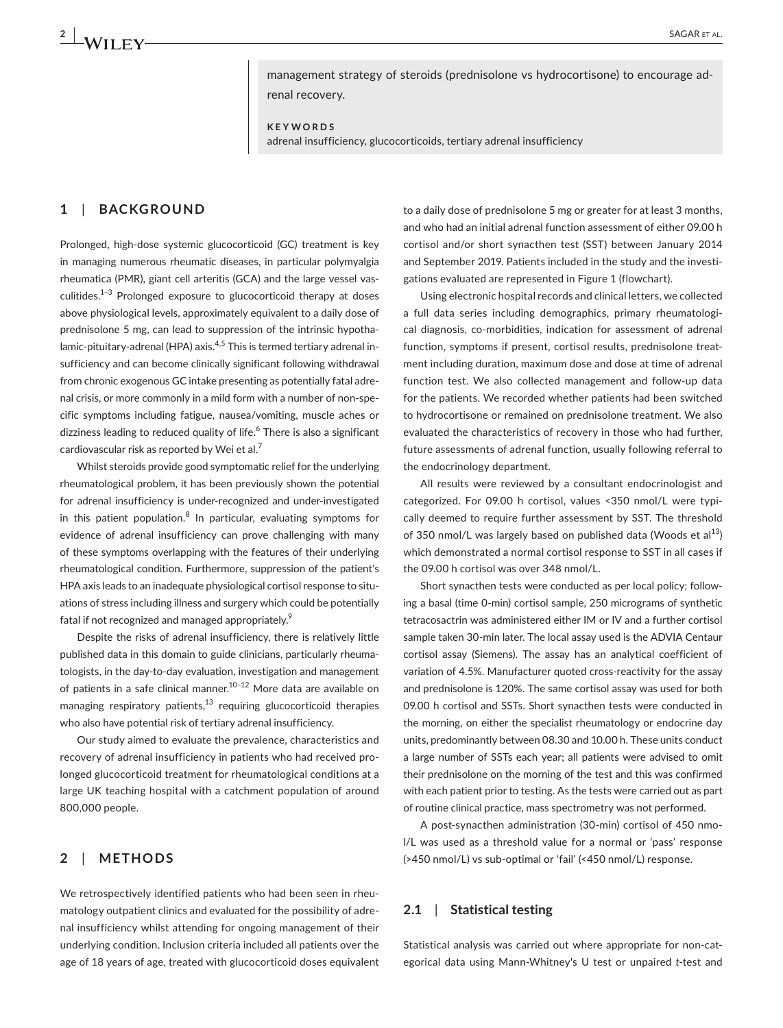management strategy of steroids (prednisolone vs hydrocortisone) to encourage adrenal recovery.

**KEYWORDS**

adrenal insufficiency, glucocorticoids, tertiary adrenal insufficiency

# **1**  | **BACKGROUND**

Prolonged, high-dose systemic glucocorticoid (GC) treatment is key in managing numerous rheumatic diseases, in particular polymyalgia rheumatica (PMR), giant cell arteritis (GCA) and the large vessel vasculitides.<sup>1-3</sup> Prolonged exposure to glucocorticoid therapy at doses above physiological levels, approximately equivalent to a daily dose of prednisolone 5 mg, can lead to suppression of the intrinsic hypothalamic-pituitary-adrenal (HPA) axis.<sup>4,5</sup> This is termed tertiary adrenal insufficiency and can become clinically significant following withdrawal from chronic exogenous GC intake presenting as potentially fatal adrenal crisis, or more commonly in a mild form with a number of non-specific symptoms including fatigue, nausea/vomiting, muscle aches or dizziness leading to reduced quality of life.<sup>6</sup> There is also a significant cardiovascular risk as reported by Wei et al.<sup>7</sup>

Whilst steroids provide good symptomatic relief for the underlying rheumatological problem, it has been previously shown the potential for adrenal insufficiency is under-recognized and under-investigated in this patient population.<sup>8</sup> In particular, evaluating symptoms for evidence of adrenal insufficiency can prove challenging with many of these symptoms overlapping with the features of their underlying rheumatological condition. Furthermore, suppression of the patient's HPA axis leads to an inadequate physiological cortisol response to situations of stress including illness and surgery which could be potentially fatal if not recognized and managed appropriately.<sup>9</sup>

Despite the risks of adrenal insufficiency, there is relatively little published data in this domain to guide clinicians, particularly rheumatologists, in the day-to-day evaluation, investigation and management of patients in a safe clinical manner.10–12 More data are available on managing respiratory patients, $13$  requiring glucocorticoid therapies who also have potential risk of tertiary adrenal insufficiency.

Our study aimed to evaluate the prevalence, characteristics and recovery of adrenal insufficiency in patients who had received prolonged glucocorticoid treatment for rheumatological conditions at a large UK teaching hospital with a catchment population of around 800,000 people.

# **2**  | **METHODS**

We retrospectively identified patients who had been seen in rheumatology outpatient clinics and evaluated for the possibility of adrenal insufficiency whilst attending for ongoing management of their underlying condition. Inclusion criteria included all patients over the age of 18 years of age, treated with glucocorticoid doses equivalent

to a daily dose of prednisolone 5 mg or greater for at least 3 months, and who had an initial adrenal function assessment of either 09.00 h cortisol and/or short synacthen test (SST) between January 2014 and September 2019. Patients included in the study and the investigations evaluated are represented in Figure 1 (flowchart).

Using electronic hospital records and clinical letters, we collected a full data series including demographics, primary rheumatological diagnosis, co-morbidities, indication for assessment of adrenal function, symptoms if present, cortisol results, prednisolone treatment including duration, maximum dose and dose at time of adrenal function test. We also collected management and follow-up data for the patients. We recorded whether patients had been switched to hydrocortisone or remained on prednisolone treatment. We also evaluated the characteristics of recovery in those who had further, future assessments of adrenal function, usually following referral to the endocrinology department.

All results were reviewed by a consultant endocrinologist and categorized. For 09.00 h cortisol, values <350 nmol/L were typically deemed to require further assessment by SST. The threshold of 350 nmol/L was largely based on published data (Woods et al $^{13}$ ) which demonstrated a normal cortisol response to SST in all cases if the 09.00 h cortisol was over 348 nmol/L.

Short synacthen tests were conducted as per local policy; following a basal (time 0-min) cortisol sample, 250 micrograms of synthetic tetracosactrin was administered either IM or IV and a further cortisol sample taken 30-min later. The local assay used is the ADVIA Centaur cortisol assay (Siemens). The assay has an analytical coefficient of variation of 4.5%. Manufacturer quoted cross-reactivity for the assay and prednisolone is 120%. The same cortisol assay was used for both 09.00 h cortisol and SSTs. Short synacthen tests were conducted in the morning, on either the specialist rheumatology or endocrine day units, predominantly between 08.30 and 10.00 h. These units conduct a large number of SSTs each year; all patients were advised to omit their prednisolone on the morning of the test and this was confirmed with each patient prior to testing. As the tests were carried out as part of routine clinical practice, mass spectrometry was not performed.

A post-synacthen administration (30-min) cortisol of 450 nmol/L was used as a threshold value for a normal or 'pass' response (>450 nmol/L) vs sub-optimal or 'fail' (<450 nmol/L) response.

#### **2.1**  | **Statistical testing**

Statistical analysis was carried out where appropriate for non-categorical data using Mann-Whitney's U test or unpaired *t*-test and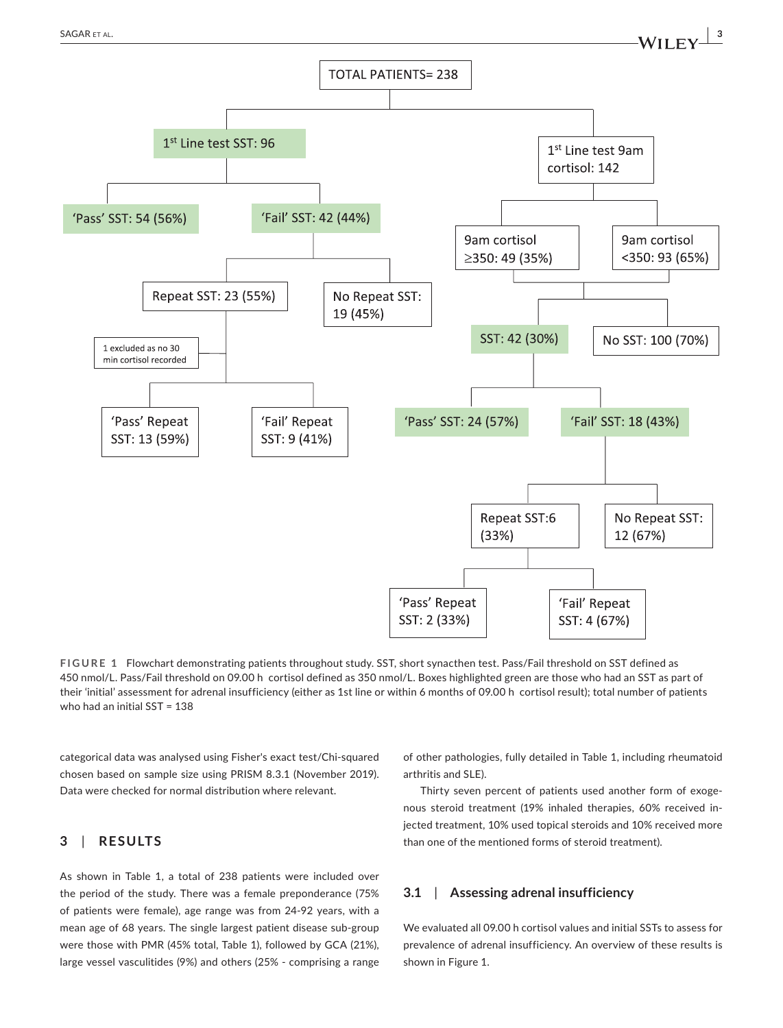

**FIGURE 1** Flowchart demonstrating patients throughout study. SST, short synacthen test. Pass/Fail threshold on SST defined as 450 nmol/L. Pass/Fail threshold on 09.00 h cortisol defined as 350 nmol/L. Boxes highlighted green are those who had an SST as part of their 'initial' assessment for adrenal insufficiency (either as 1st line or within 6 months of 09.00 h cortisol result); total number of patients who had an initial SST = 138

categorical data was analysed using Fisher's exact test/Chi-squared chosen based on sample size using PRISM 8.3.1 (November 2019). Data were checked for normal distribution where relevant.

### **3**  | **RESULTS**

As shown in Table 1, a total of 238 patients were included over the period of the study. There was a female preponderance (75% of patients were female), age range was from 24-92 years, with a mean age of 68 years. The single largest patient disease sub-group were those with PMR (45% total, Table 1), followed by GCA (21%), large vessel vasculitides (9%) and others (25% - comprising a range

of other pathologies, fully detailed in Table 1, including rheumatoid arthritis and SLE).

Thirty seven percent of patients used another form of exogenous steroid treatment (19% inhaled therapies, 60% received injected treatment, 10% used topical steroids and 10% received more than one of the mentioned forms of steroid treatment).

#### **3.1**  | **Assessing adrenal insufficiency**

We evaluated all 09.00 h cortisol values and initial SSTs to assess for prevalence of adrenal insufficiency. An overview of these results is shown in Figure 1.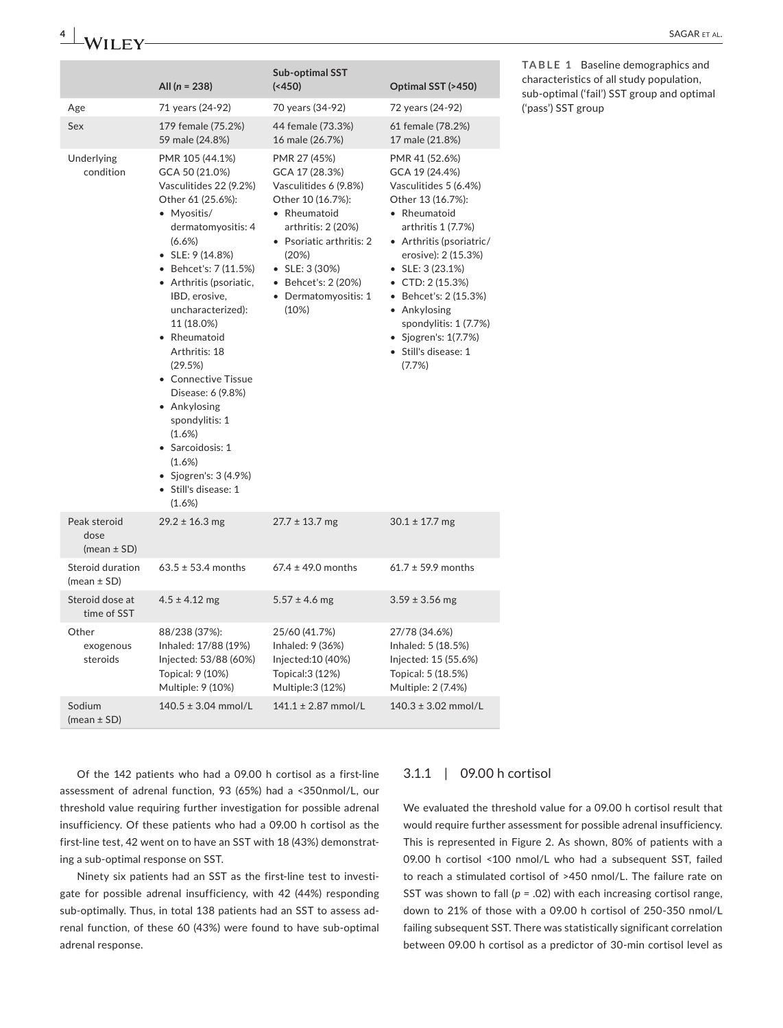|                                         | All $(n = 238)$                                                                                                                                                                                                                                                                                                                                                                                                                                                                                   | Sub-optimal SST<br>$(*450)$                                                                                                                                                                                                               | Optimal SST (>450)                                                                                                                                                                                                                                                                                                                                     | TABLE 1 Baseline demographics and<br>characteristics of all study population, |
|-----------------------------------------|---------------------------------------------------------------------------------------------------------------------------------------------------------------------------------------------------------------------------------------------------------------------------------------------------------------------------------------------------------------------------------------------------------------------------------------------------------------------------------------------------|-------------------------------------------------------------------------------------------------------------------------------------------------------------------------------------------------------------------------------------------|--------------------------------------------------------------------------------------------------------------------------------------------------------------------------------------------------------------------------------------------------------------------------------------------------------------------------------------------------------|-------------------------------------------------------------------------------|
| Age                                     | 71 years (24-92)                                                                                                                                                                                                                                                                                                                                                                                                                                                                                  | 70 years (34-92)                                                                                                                                                                                                                          | 72 years (24-92)                                                                                                                                                                                                                                                                                                                                       | sub-optimal ('fail') SST group and optimal<br>('pass') SST group              |
| Sex                                     | 179 female (75.2%)<br>59 male (24.8%)                                                                                                                                                                                                                                                                                                                                                                                                                                                             | 44 female (73.3%)<br>16 male (26.7%)                                                                                                                                                                                                      | 61 female (78.2%)<br>17 male (21.8%)                                                                                                                                                                                                                                                                                                                   |                                                                               |
| Underlying<br>condition                 | PMR 105 (44.1%)<br>GCA 50 (21.0%)<br>Vasculitides 22 (9.2%)<br>Other 61 (25.6%):<br>• Myositis/<br>dermatomyositis: 4<br>(6.6%)<br>$\bullet$ SLE: 9 (14.8%)<br>• Behcet's: 7 (11.5%)<br>• Arthritis (psoriatic,<br>IBD, erosive,<br>uncharacterized):<br>11 (18.0%)<br>• Rheumatoid<br>Arthritis: 18<br>(29.5%)<br>• Connective Tissue<br>Disease: 6 (9.8%)<br>• Ankylosing<br>spondylitis: 1<br>(1.6%)<br>· Sarcoidosis: 1<br>(1.6%)<br>• Sjogren's: $3(4.9%)$<br>· Still's disease: 1<br>(1.6%) | PMR 27 (45%)<br>GCA 17 (28.3%)<br>Vasculitides 6 (9.8%)<br>Other 10 (16.7%):<br>• Rheumatoid<br>arthritis: 2 (20%)<br>• Psoriatic arthritis: 2<br>(20%)<br>$\bullet$ SLE: 3 (30%)<br>• Behcet's: 2 (20%)<br>• Dermatomyositis: 1<br>(10%) | PMR 41 (52.6%)<br>GCA 19 (24.4%)<br>Vasculitides 5 (6.4%)<br>Other 13 (16.7%):<br>• Rheumatoid<br>arthritis 1 (7.7%)<br>• Arthritis (psoriatric/<br>erosive): 2 (15.3%)<br>$\bullet$ SLE: 3 (23.1%)<br>• CTD: $2(15.3%)$<br>• Behcet's: 2 (15.3%)<br>• Ankylosing<br>spondylitis: 1 (7.7%)<br>• Sjogren's: $1(7.7%)$<br>· Still's disease: 1<br>(7.7%) |                                                                               |
| Peak steroid<br>dose<br>(mean $\pm$ SD) | $29.2 \pm 16.3$ mg                                                                                                                                                                                                                                                                                                                                                                                                                                                                                | $27.7 \pm 13.7$ mg                                                                                                                                                                                                                        | $30.1 \pm 17.7$ mg                                                                                                                                                                                                                                                                                                                                     |                                                                               |
| Steroid duration<br>(mean $\pm$ SD)     | $63.5 \pm 53.4$ months                                                                                                                                                                                                                                                                                                                                                                                                                                                                            | $67.4 \pm 49.0$ months                                                                                                                                                                                                                    | $61.7 \pm 59.9$ months                                                                                                                                                                                                                                                                                                                                 |                                                                               |
| Steroid dose at<br>time of SST          | $4.5 \pm 4.12$ mg                                                                                                                                                                                                                                                                                                                                                                                                                                                                                 | $5.57 \pm 4.6$ mg                                                                                                                                                                                                                         | $3.59 \pm 3.56$ mg                                                                                                                                                                                                                                                                                                                                     |                                                                               |
| Other<br>exogenous<br>steroids          | 88/238 (37%):<br>Inhaled: 17/88 (19%)<br>Injected: 53/88 (60%)<br>Topical: 9 (10%)<br>Multiple: 9 (10%)                                                                                                                                                                                                                                                                                                                                                                                           | 25/60 (41.7%)<br>Inhaled: 9 (36%)<br>Injected:10 (40%)<br>Topical: 3 (12%)<br>Multiple: 3 (12%)                                                                                                                                           | 27/78 (34.6%)<br>Inhaled: 5 (18.5%)<br>Injected: 15 (55.6%)<br>Topical: 5 (18.5%)<br>Multiple: 2 (7.4%)                                                                                                                                                                                                                                                |                                                                               |
| Sodium<br>(mean $\pm$ SD)               | $140.5 \pm 3.04$ mmol/L                                                                                                                                                                                                                                                                                                                                                                                                                                                                           | $141.1 \pm 2.87$ mmol/L                                                                                                                                                                                                                   | $140.3 \pm 3.02$ mmol/L                                                                                                                                                                                                                                                                                                                                |                                                                               |

Of the 142 patients who had a 09.00 h cortisol as a first-line assessment of adrenal function, 93 (65%) had a <350nmol/L, our threshold value requiring further investigation for possible adrenal insufficiency. Of these patients who had a 09.00 h cortisol as the first-line test, 42 went on to have an SST with 18 (43%) demonstrating a sub-optimal response on SST.

Ninety six patients had an SST as the first-line test to investigate for possible adrenal insufficiency, with 42 (44%) responding sub-optimally. Thus, in total 138 patients had an SST to assess adrenal function, of these 60 (43%) were found to have sub-optimal adrenal response.

# 3.1.1 | 09.00 h cortisol

We evaluated the threshold value for a 09.00 h cortisol result that would require further assessment for possible adrenal insufficiency. This is represented in Figure 2. As shown, 80% of patients with a 09.00 h cortisol <100 nmol/L who had a subsequent SST, failed to reach a stimulated cortisol of >450 nmol/L. The failure rate on SST was shown to fall (*p =* .02) with each increasing cortisol range, down to 21% of those with a 09.00 h cortisol of 250-350 nmol/L failing subsequent SST. There was statistically significant correlation between 09.00 h cortisol as a predictor of 30-min cortisol level as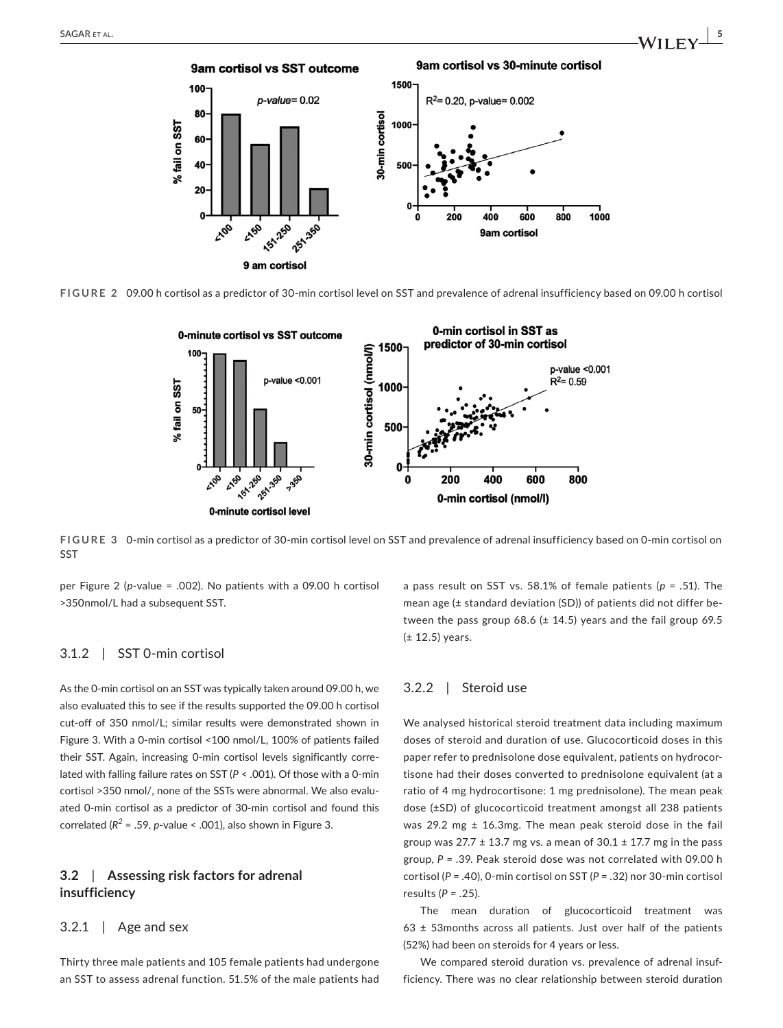

**FIGURE 2** 09.00 h cortisol as a predictor of 30-min cortisol level on SST and prevalence of adrenal insufficiency based on 09.00 h cortisol



**FIGURE 3** 0-min cortisol as a predictor of 30-min cortisol level on SST and prevalence of adrenal insufficiency based on 0-min cortisol on SST

per Figure 2 (*p*-value = .002). No patients with a 09.00 h cortisol >350nmol/L had a subsequent SST.

#### 3.1.2 | SST 0-min cortisol

As the 0-min cortisol on an SST was typically taken around 09.00 h, we also evaluated this to see if the results supported the 09.00 h cortisol cut-off of 350 nmol/L; similar results were demonstrated shown in Figure 3. With a 0-min cortisol <100 nmol/L, 100% of patients failed their SST. Again, increasing 0-min cortisol levels significantly correlated with falling failure rates on SST (*P* < .001). Of those with a 0-min cortisol >350 nmol/, none of the SSTs were abnormal. We also evaluated 0-min cortisol as a predictor of 30-min cortisol and found this correlated ( $R^2$  = .59, *p*-value < .001), also shown in Figure 3.

# **3.2**  | **Assessing risk factors for adrenal insufficiency**

#### $3.2.1$  | Age and sex

Thirty three male patients and 105 female patients had undergone an SST to assess adrenal function. 51.5% of the male patients had a pass result on SST vs. 58.1% of female patients (*p =* .51). The mean age (± standard deviation (SD)) of patients did not differ between the pass group 68.6 ( $\pm$  14.5) years and the fail group 69.5 (± 12.5) years.

#### 3.2.2 | Steroid use

We analysed historical steroid treatment data including maximum doses of steroid and duration of use. Glucocorticoid doses in this paper refer to prednisolone dose equivalent, patients on hydrocortisone had their doses converted to prednisolone equivalent (at a ratio of 4 mg hydrocortisone: 1 mg prednisolone). The mean peak dose (±SD) of glucocorticoid treatment amongst all 238 patients was 29.2 mg  $\pm$  16.3mg. The mean peak steroid dose in the fail group was  $27.7 \pm 13.7$  mg vs. a mean of  $30.1 \pm 17.7$  mg in the pass group, *P =* .39. Peak steroid dose was not correlated with 09.00 h cortisol (*P =* .40), 0-min cortisol on SST (*P =* .32) nor 30-min cortisol results (*P =* .25).

The mean duration of glucocorticoid treatment was  $63 \pm 53$  months across all patients. Just over half of the patients (52%) had been on steroids for 4 years or less.

We compared steroid duration vs. prevalence of adrenal insufficiency. There was no clear relationship between steroid duration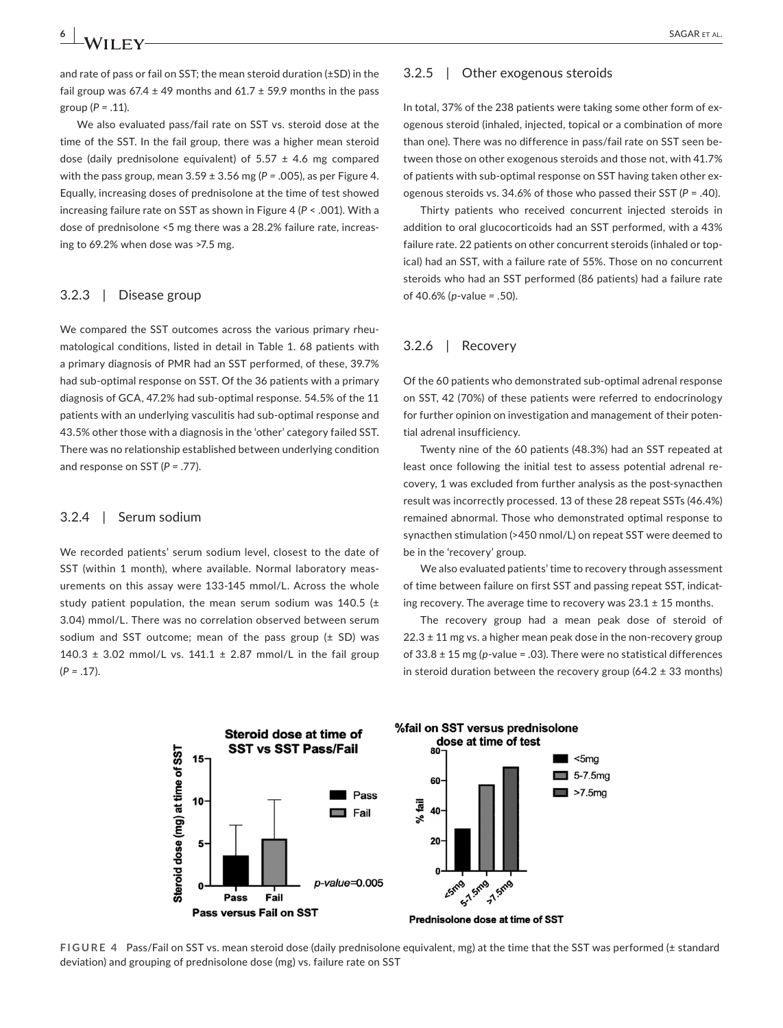and rate of pass or fail on SST; the mean steroid duration (±SD) in the fail group was  $67.4 \pm 49$  months and  $61.7 \pm 59.9$  months in the pass group (*P =* .11).

We also evaluated pass/fail rate on SST vs. steroid dose at the time of the SST. In the fail group, there was a higher mean steroid dose (daily prednisolone equivalent) of  $5.57 \pm 4.6$  mg compared with the pass group, mean 3.59 ± 3.56 mg (*P =* .005), as per Figure 4. Equally, increasing doses of prednisolone at the time of test showed increasing failure rate on SST as shown in Figure 4 (*P* < .001). With a dose of prednisolone <5 mg there was a 28.2% failure rate, increasing to 69.2% when dose was >7.5 mg.

#### 3.2.3 | Disease group

We compared the SST outcomes across the various primary rheumatological conditions, listed in detail in Table 1. 68 patients with a primary diagnosis of PMR had an SST performed, of these, 39.7% had sub-optimal response on SST. Of the 36 patients with a primary diagnosis of GCA, 47.2% had sub-optimal response. 54.5% of the 11 patients with an underlying vasculitis had sub-optimal response and 43.5% other those with a diagnosis in the 'other' category failed SST. There was no relationship established between underlying condition and response on SST (*P =* .77).

#### 3.2.4 | Serum sodium

We recorded patients' serum sodium level, closest to the date of SST (within 1 month), where available. Normal laboratory measurements on this assay were 133-145 mmol/L. Across the whole study patient population, the mean serum sodium was 140.5 ( $\pm$ 3.04) mmol/L. There was no correlation observed between serum sodium and SST outcome; mean of the pass group  $(\pm$  SD) was 140.3  $\pm$  3.02 mmol/L vs. 141.1  $\pm$  2.87 mmol/L in the fail group  $(P = .17)$ .

#### 3.2.5 | Other exogenous steroids

In total, 37% of the 238 patients were taking some other form of exogenous steroid (inhaled, injected, topical or a combination of more than one). There was no difference in pass/fail rate on SST seen between those on other exogenous steroids and those not, with 41.7% of patients with sub-optimal response on SST having taken other exogenous steroids vs. 34.6% of those who passed their SST (*P* = .40).

Thirty patients who received concurrent injected steroids in addition to oral glucocorticoids had an SST performed, with a 43% failure rate. 22 patients on other concurrent steroids (inhaled or topical) had an SST, with a failure rate of 55%. Those on no concurrent steroids who had an SST performed (86 patients) had a failure rate of 40.6% (*p*-value *=* .50).

#### 3.2.6 | Recovery

Of the 60 patients who demonstrated sub-optimal adrenal response on SST, 42 (70%) of these patients were referred to endocrinology for further opinion on investigation and management of their potential adrenal insufficiency.

Twenty nine of the 60 patients (48.3%) had an SST repeated at least once following the initial test to assess potential adrenal recovery, 1 was excluded from further analysis as the post-synacthen result was incorrectly processed. 13 of these 28 repeat SSTs (46.4%) remained abnormal. Those who demonstrated optimal response to synacthen stimulation (>450 nmol/L) on repeat SST were deemed to be in the 'recovery' group.

We also evaluated patients' time to recovery through assessment of time between failure on first SST and passing repeat SST, indicating recovery. The average time to recovery was  $23.1 \pm 15$  months.

The recovery group had a mean peak dose of steroid of  $22.3 \pm 11$  mg vs. a higher mean peak dose in the non-recovery group of 33.8 ± 15 mg (*p*-value = .03). There were no statistical differences in steroid duration between the recovery group (64.2  $\pm$  33 months)



**FIGURE 4** Pass/Fail on SST vs. mean steroid dose (daily prednisolone equivalent, mg) at the time that the SST was performed (± standard deviation) and grouping of prednisolone dose (mg) vs. failure rate on SST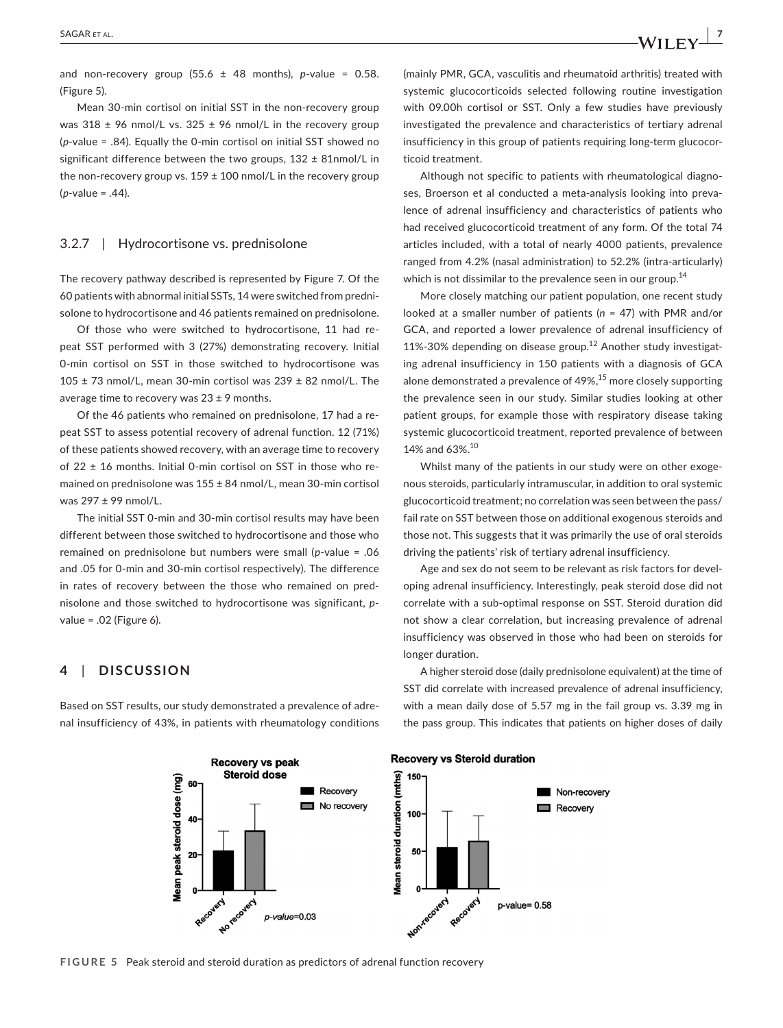and non-recovery group  $(55.6 \pm 48 \text{ months})$ , *p*-value = 0.58. (Figure 5).

Mean 30-min cortisol on initial SST in the non-recovery group was 318  $\pm$  96 nmol/L vs. 325  $\pm$  96 nmol/L in the recovery group (*p-*value = .84). Equally the 0-min cortisol on initial SST showed no significant difference between the two groups,  $132 \pm 81$ nmol/L in the non-recovery group vs.  $159 \pm 100$  nmol/L in the recovery group (*p-*value = .44).

### 3.2.7 | Hydrocortisone vs. prednisolone

The recovery pathway described is represented by Figure 7. Of the 60 patients with abnormal initial SSTs, 14 were switched from prednisolone to hydrocortisone and 46 patients remained on prednisolone.

Of those who were switched to hydrocortisone, 11 had repeat SST performed with 3 (27%) demonstrating recovery. Initial 0-min cortisol on SST in those switched to hydrocortisone was  $105 \pm 73$  nmol/L, mean 30-min cortisol was 239  $\pm$  82 nmol/L. The average time to recovery was 23 ± 9 months.

Of the 46 patients who remained on prednisolone, 17 had a repeat SST to assess potential recovery of adrenal function. 12 (71%) of these patients showed recovery, with an average time to recovery of  $22 \pm 16$  months. Initial 0-min cortisol on SST in those who remained on prednisolone was 155 ± 84 nmol/L, mean 30-min cortisol was 297 ± 99 nmol/L.

The initial SST 0-min and 30-min cortisol results may have been different between those switched to hydrocortisone and those who remained on prednisolone but numbers were small (*p*-value = .06 and .05 for 0-min and 30-min cortisol respectively). The difference in rates of recovery between the those who remained on prednisolone and those switched to hydrocortisone was significant, *p*value = .02 (Figure 6).

# **4**  | **DISCUSSION**

Based on SST results, our study demonstrated a prevalence of adrenal insufficiency of 43%, in patients with rheumatology conditions

(mainly PMR, GCA, vasculitis and rheumatoid arthritis) treated with systemic glucocorticoids selected following routine investigation with 09.00h cortisol or SST. Only a few studies have previously investigated the prevalence and characteristics of tertiary adrenal insufficiency in this group of patients requiring long-term glucocorticoid treatment.

Although not specific to patients with rheumatological diagnoses, Broerson et al conducted a meta-analysis looking into prevalence of adrenal insufficiency and characteristics of patients who had received glucocorticoid treatment of any form. Of the total 74 articles included, with a total of nearly 4000 patients, prevalence ranged from 4.2% (nasal administration) to 52.2% (intra-articularly) which is not dissimilar to the prevalence seen in our group.<sup>14</sup>

More closely matching our patient population, one recent study looked at a smaller number of patients (*n* = 47) with PMR and/or GCA, and reported a lower prevalence of adrenal insufficiency of 11%-30% depending on disease group.<sup>12</sup> Another study investigating adrenal insufficiency in 150 patients with a diagnosis of GCA alone demonstrated a prevalence of  $49\%$ ,  $^{15}$  more closely supporting the prevalence seen in our study. Similar studies looking at other patient groups, for example those with respiratory disease taking systemic glucocorticoid treatment, reported prevalence of between 14% and 63%.<sup>10</sup>

Whilst many of the patients in our study were on other exogenous steroids, particularly intramuscular, in addition to oral systemic glucocorticoid treatment; no correlation was seen between the pass/ fail rate on SST between those on additional exogenous steroids and those not. This suggests that it was primarily the use of oral steroids driving the patients' risk of tertiary adrenal insufficiency.

Age and sex do not seem to be relevant as risk factors for developing adrenal insufficiency. Interestingly, peak steroid dose did not correlate with a sub-optimal response on SST. Steroid duration did not show a clear correlation, but increasing prevalence of adrenal insufficiency was observed in those who had been on steroids for longer duration.

A higher steroid dose (daily prednisolone equivalent) at the time of SST did correlate with increased prevalence of adrenal insufficiency, with a mean daily dose of 5.57 mg in the fail group vs. 3.39 mg in the pass group. This indicates that patients on higher doses of daily



#### **FIGURE 5** Peak steroid and steroid duration as predictors of adrenal function recovery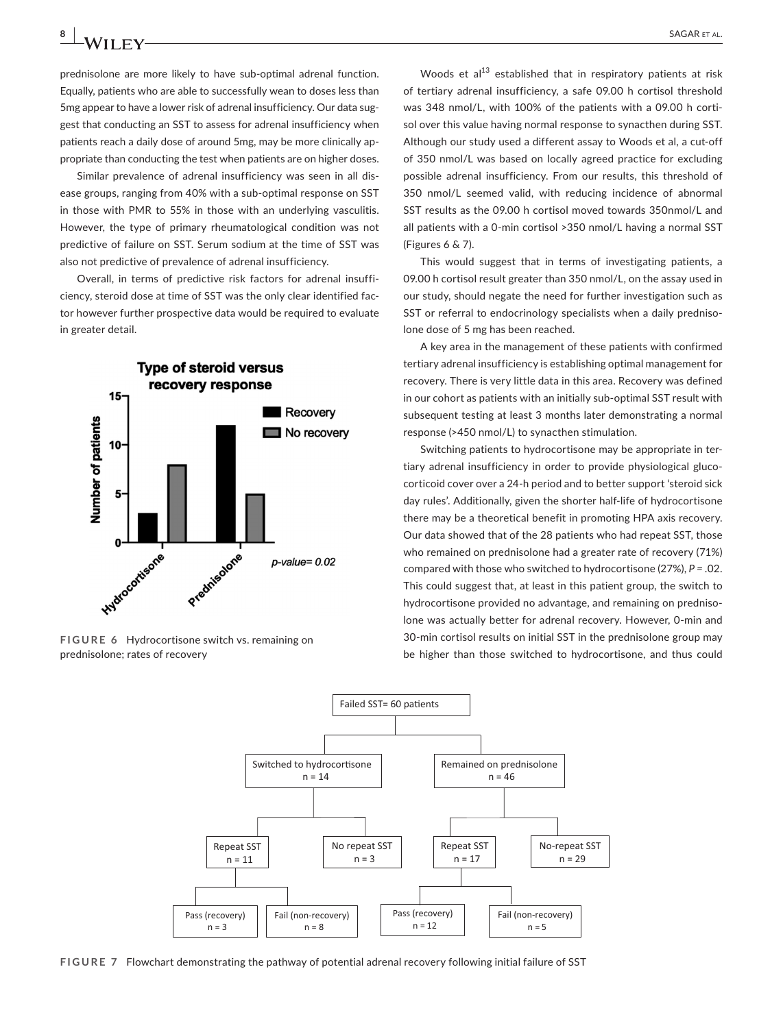prednisolone are more likely to have sub-optimal adrenal function. Equally, patients who are able to successfully wean to doses less than 5mg appear to have a lower risk of adrenal insufficiency. Our data suggest that conducting an SST to assess for adrenal insufficiency when patients reach a daily dose of around 5mg, may be more clinically appropriate than conducting the test when patients are on higher doses.

Similar prevalence of adrenal insufficiency was seen in all disease groups, ranging from 40% with a sub-optimal response on SST in those with PMR to 55% in those with an underlying vasculitis. However, the type of primary rheumatological condition was not predictive of failure on SST. Serum sodium at the time of SST was also not predictive of prevalence of adrenal insufficiency.

Overall, in terms of predictive risk factors for adrenal insufficiency, steroid dose at time of SST was the only clear identified factor however further prospective data would be required to evaluate in greater detail.



**FIGURE 6** Hydrocortisone switch vs. remaining on prednisolone; rates of recovery

Woods et al $^{13}$  established that in respiratory patients at risk of tertiary adrenal insufficiency, a safe 09.00 h cortisol threshold was 348 nmol/L, with 100% of the patients with a 09.00 h cortisol over this value having normal response to synacthen during SST. Although our study used a different assay to Woods et al, a cut-off of 350 nmol/L was based on locally agreed practice for excluding possible adrenal insufficiency. From our results, this threshold of 350 nmol/L seemed valid, with reducing incidence of abnormal SST results as the 09.00 h cortisol moved towards 350nmol/L and all patients with a 0-min cortisol >350 nmol/L having a normal SST (Figures 6 & 7).

This would suggest that in terms of investigating patients, a 09.00 h cortisol result greater than 350 nmol/L, on the assay used in our study, should negate the need for further investigation such as SST or referral to endocrinology specialists when a daily prednisolone dose of 5 mg has been reached.

A key area in the management of these patients with confirmed tertiary adrenal insufficiency is establishing optimal management for recovery. There is very little data in this area. Recovery was defined in our cohort as patients with an initially sub-optimal SST result with subsequent testing at least 3 months later demonstrating a normal response (>450 nmol/L) to synacthen stimulation.

Switching patients to hydrocortisone may be appropriate in tertiary adrenal insufficiency in order to provide physiological glucocorticoid cover over a 24-h period and to better support 'steroid sick day rules'. Additionally, given the shorter half-life of hydrocortisone there may be a theoretical benefit in promoting HPA axis recovery. Our data showed that of the 28 patients who had repeat SST, those who remained on prednisolone had a greater rate of recovery (71%) compared with those who switched to hydrocortisone (27%), *P =* .02. This could suggest that, at least in this patient group, the switch to hydrocortisone provided no advantage, and remaining on prednisolone was actually better for adrenal recovery. However, 0-min and 30-min cortisol results on initial SST in the prednisolone group may be higher than those switched to hydrocortisone, and thus could



**FIGURE 7** Flowchart demonstrating the pathway of potential adrenal recovery following initial failure of SST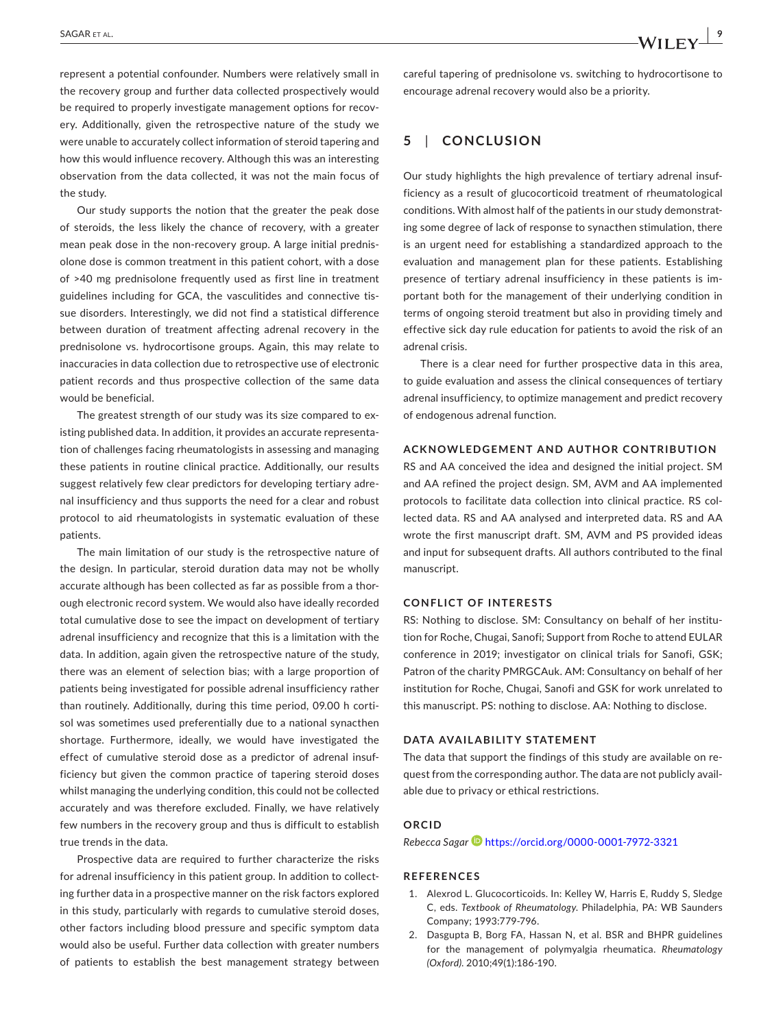represent a potential confounder. Numbers were relatively small in the recovery group and further data collected prospectively would be required to properly investigate management options for recovery. Additionally, given the retrospective nature of the study we were unable to accurately collect information of steroid tapering and how this would influence recovery. Although this was an interesting observation from the data collected, it was not the main focus of the study.

Our study supports the notion that the greater the peak dose of steroids, the less likely the chance of recovery, with a greater mean peak dose in the non-recovery group. A large initial prednisolone dose is common treatment in this patient cohort, with a dose of >40 mg prednisolone frequently used as first line in treatment guidelines including for GCA, the vasculitides and connective tissue disorders. Interestingly, we did not find a statistical difference between duration of treatment affecting adrenal recovery in the prednisolone vs. hydrocortisone groups. Again, this may relate to inaccuracies in data collection due to retrospective use of electronic patient records and thus prospective collection of the same data would be beneficial.

The greatest strength of our study was its size compared to existing published data. In addition, it provides an accurate representation of challenges facing rheumatologists in assessing and managing these patients in routine clinical practice. Additionally, our results suggest relatively few clear predictors for developing tertiary adrenal insufficiency and thus supports the need for a clear and robust protocol to aid rheumatologists in systematic evaluation of these patients.

The main limitation of our study is the retrospective nature of the design. In particular, steroid duration data may not be wholly accurate although has been collected as far as possible from a thorough electronic record system. We would also have ideally recorded total cumulative dose to see the impact on development of tertiary adrenal insufficiency and recognize that this is a limitation with the data. In addition, again given the retrospective nature of the study, there was an element of selection bias; with a large proportion of patients being investigated for possible adrenal insufficiency rather than routinely. Additionally, during this time period, 09.00 h cortisol was sometimes used preferentially due to a national synacthen shortage. Furthermore, ideally, we would have investigated the effect of cumulative steroid dose as a predictor of adrenal insufficiency but given the common practice of tapering steroid doses whilst managing the underlying condition, this could not be collected accurately and was therefore excluded. Finally, we have relatively few numbers in the recovery group and thus is difficult to establish true trends in the data.

Prospective data are required to further characterize the risks for adrenal insufficiency in this patient group. In addition to collecting further data in a prospective manner on the risk factors explored in this study, particularly with regards to cumulative steroid doses, other factors including blood pressure and specific symptom data would also be useful. Further data collection with greater numbers of patients to establish the best management strategy between

careful tapering of prednisolone vs. switching to hydrocortisone to encourage adrenal recovery would also be a priority.

# **5**  | **CONCLUSION**

Our study highlights the high prevalence of tertiary adrenal insufficiency as a result of glucocorticoid treatment of rheumatological conditions. With almost half of the patients in our study demonstrating some degree of lack of response to synacthen stimulation, there is an urgent need for establishing a standardized approach to the evaluation and management plan for these patients. Establishing presence of tertiary adrenal insufficiency in these patients is important both for the management of their underlying condition in terms of ongoing steroid treatment but also in providing timely and effective sick day rule education for patients to avoid the risk of an adrenal crisis.

There is a clear need for further prospective data in this area, to guide evaluation and assess the clinical consequences of tertiary adrenal insufficiency, to optimize management and predict recovery of endogenous adrenal function.

#### **ACKNOWLEDGEMENT AND AUTHOR CONTRIBUTION**

RS and AA conceived the idea and designed the initial project. SM and AA refined the project design. SM, AVM and AA implemented protocols to facilitate data collection into clinical practice. RS collected data. RS and AA analysed and interpreted data. RS and AA wrote the first manuscript draft. SM, AVM and PS provided ideas and input for subsequent drafts. All authors contributed to the final manuscript.

#### **CONFLICT OF INTERESTS**

RS: Nothing to disclose. SM: Consultancy on behalf of her institution for Roche, Chugai, Sanofi; Support from Roche to attend EULAR conference in 2019; investigator on clinical trials for Sanofi, GSK; Patron of the charity PMRGCAuk. AM: Consultancy on behalf of her institution for Roche, Chugai, Sanofi and GSK for work unrelated to this manuscript. PS: nothing to disclose. AA: Nothing to disclose.

#### **DATA AVAILABILITY STATEMENT**

The data that support the findings of this study are available on request from the corresponding author. The data are not publicly available due to privacy or ethical restrictions.

#### **ORCID**

*Rebecca Saga[r](https://orcid.org/0000-0001-7972-3321)* <https://orcid.org/0000-0001-7972-3321>

#### **REFERENCES**

- 1. Alexrod L. Glucocorticoids. In: Kelley W, Harris E, Ruddy S, Sledge C, eds. *Textbook of Rheumatology*. Philadelphia, PA: WB Saunders Company; 1993:779-796.
- 2. Dasgupta B, Borg FA, Hassan N, et al. BSR and BHPR guidelines for the management of polymyalgia rheumatica. *Rheumatology (Oxford)*. 2010;49(1):186-190.